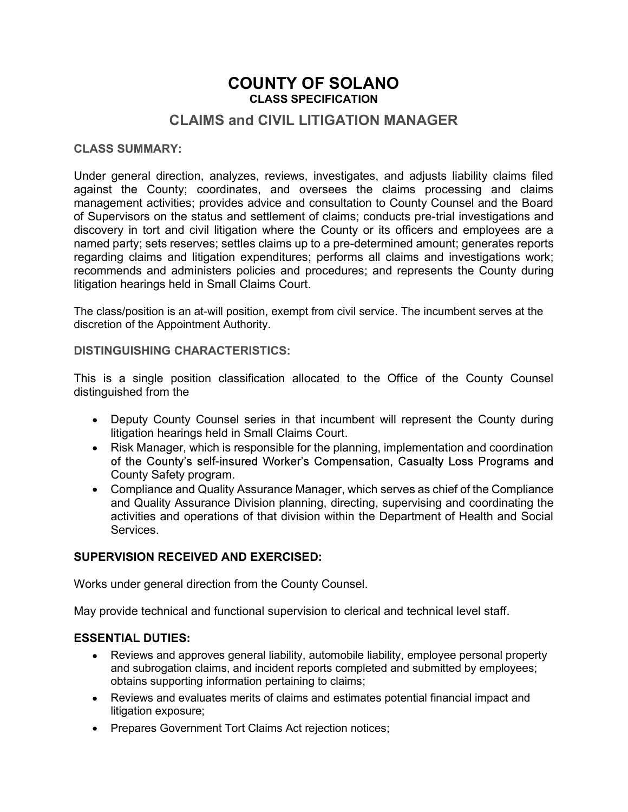# COUNTY OF SOLANO CLASS SPECIFICATION

# CLAIMS and CIVIL LITIGATION MANAGER

#### CLASS SUMMARY:

Under general direction, analyzes, reviews, investigates, and adjusts liability claims filed against the County; coordinates, and oversees the claims processing and claims management activities; provides advice and consultation to County Counsel and the Board of Supervisors on the status and settlement of claims; conducts pre-trial investigations and discovery in tort and civil litigation where the County or its officers and employees are a named party; sets reserves; settles claims up to a pre-determined amount; generates reports regarding claims and litigation expenditures; performs all claims and investigations work; recommends and administers policies and procedures; and represents the County during litigation hearings held in Small Claims Court.

The class/position is an at-will position, exempt from civil service. The incumbent serves at the discretion of the Appointment Authority.

#### DISTINGUISHING CHARACTERISTICS:

This is a single position classification allocated to the Office of the County Counsel distinguished from the

- Deputy County Counsel series in that incumbent will represent the County during litigation hearings held in Small Claims Court.
- Risk Manager, which is responsible for the planning, implementation and coordination of the County's self-insured Worker's Compensation, Casualty Loss Programs and County Safety program.
- Compliance and Quality Assurance Manager, which serves as chief of the Compliance and Quality Assurance Division planning, directing, supervising and coordinating the activities and operations of that division within the Department of Health and Social Services.

#### SUPERVISION RECEIVED AND EXERCISED:

Works under general direction from the County Counsel.

May provide technical and functional supervision to clerical and technical level staff.

#### ESSENTIAL DUTIES:

- Reviews and approves general liability, automobile liability, employee personal property and subrogation claims, and incident reports completed and submitted by employees; obtains supporting information pertaining to claims;
- Reviews and evaluates merits of claims and estimates potential financial impact and litigation exposure;
- Prepares Government Tort Claims Act rejection notices;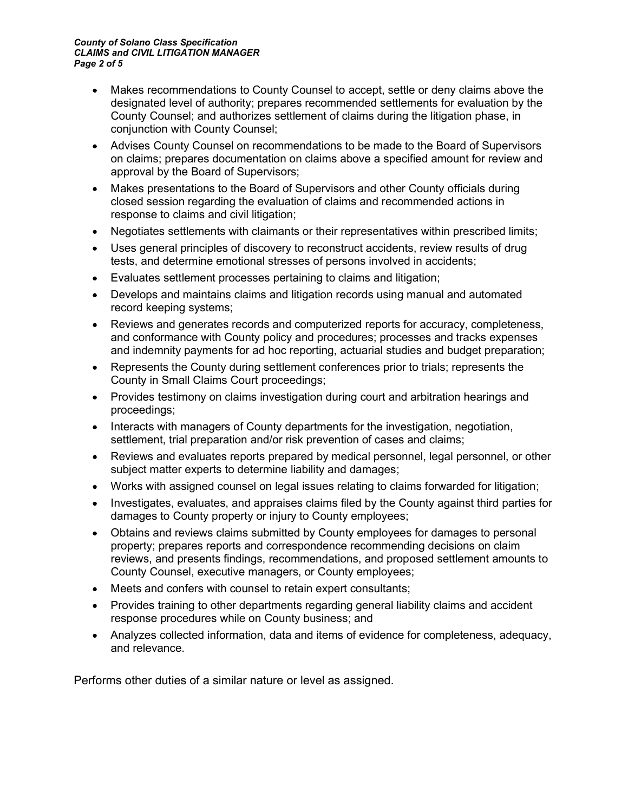#### County of Solano Class Specification CLAIMS and CIVIL LITIGATION MANAGER Page 2 of 5

- Makes recommendations to County Counsel to accept, settle or deny claims above the designated level of authority; prepares recommended settlements for evaluation by the County Counsel; and authorizes settlement of claims during the litigation phase, in conjunction with County Counsel;
- Advises County Counsel on recommendations to be made to the Board of Supervisors on claims; prepares documentation on claims above a specified amount for review and approval by the Board of Supervisors;
- Makes presentations to the Board of Supervisors and other County officials during closed session regarding the evaluation of claims and recommended actions in response to claims and civil litigation;
- Negotiates settlements with claimants or their representatives within prescribed limits;
- Uses general principles of discovery to reconstruct accidents, review results of drug tests, and determine emotional stresses of persons involved in accidents;
- Evaluates settlement processes pertaining to claims and litigation;
- Develops and maintains claims and litigation records using manual and automated record keeping systems;
- Reviews and generates records and computerized reports for accuracy, completeness, and conformance with County policy and procedures; processes and tracks expenses and indemnity payments for ad hoc reporting, actuarial studies and budget preparation;
- Represents the County during settlement conferences prior to trials; represents the County in Small Claims Court proceedings;
- Provides testimony on claims investigation during court and arbitration hearings and proceedings;
- Interacts with managers of County departments for the investigation, negotiation, settlement, trial preparation and/or risk prevention of cases and claims;
- Reviews and evaluates reports prepared by medical personnel, legal personnel, or other subject matter experts to determine liability and damages;
- Works with assigned counsel on legal issues relating to claims forwarded for litigation;
- Investigates, evaluates, and appraises claims filed by the County against third parties for damages to County property or injury to County employees;
- Obtains and reviews claims submitted by County employees for damages to personal property; prepares reports and correspondence recommending decisions on claim reviews, and presents findings, recommendations, and proposed settlement amounts to County Counsel, executive managers, or County employees;
- Meets and confers with counsel to retain expert consultants;
- Provides training to other departments regarding general liability claims and accident response procedures while on County business; and
- Analyzes collected information, data and items of evidence for completeness, adequacy, and relevance.

Performs other duties of a similar nature or level as assigned.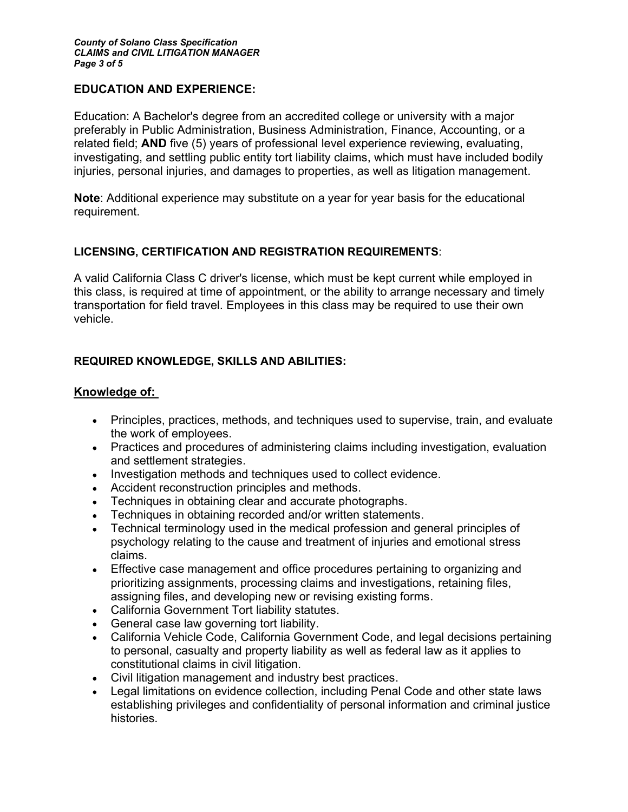## EDUCATION AND EXPERIENCE:

Education: A Bachelor's degree from an accredited college or university with a major preferably in Public Administration, Business Administration, Finance, Accounting, or a related field; AND five (5) years of professional level experience reviewing, evaluating, investigating, and settling public entity tort liability claims, which must have included bodily injuries, personal injuries, and damages to properties, as well as litigation management.

Note: Additional experience may substitute on a year for year basis for the educational requirement.

## LICENSING, CERTIFICATION AND REGISTRATION REQUIREMENTS:

A valid California Class C driver's license, which must be kept current while employed in this class, is required at time of appointment, or the ability to arrange necessary and timely transportation for field travel. Employees in this class may be required to use their own vehicle.

## REQUIRED KNOWLEDGE, SKILLS AND ABILITIES:

- Knowledge of:<br>• Principles, practices, methods, and techniques used to supervise, train, and evaluate the work of employees.
	- Practices and procedures of administering claims including investigation, evaluation and settlement strategies.
	- Investigation methods and techniques used to collect evidence.
	- Accident reconstruction principles and methods.
	- Techniques in obtaining clear and accurate photographs.
	- Techniques in obtaining recorded and/or written statements.  $\bullet$
	- Technical terminology used in the medical profession and general principles of psychology relating to the cause and treatment of injuries and emotional stress claims.
	- Effective case management and office procedures pertaining to organizing and prioritizing assignments, processing claims and investigations, retaining files, assigning files, and developing new or revising existing forms.
	- California Government Tort liability statutes.
	- General case law governing tort liability.
	- California Vehicle Code, California Government Code, and legal decisions pertaining to personal, casualty and property liability as well as federal law as it applies to constitutional claims in civil litigation.
	- Civil litigation management and industry best practices.
	- Legal limitations on evidence collection, including Penal Code and other state laws establishing privileges and confidentiality of personal information and criminal justice histories.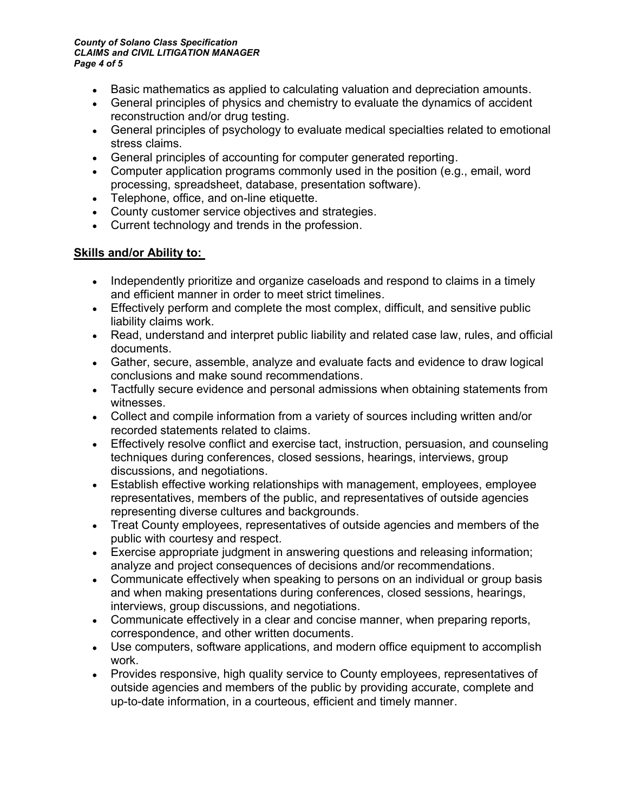#### County of Solano Class Specification CLAIMS and CIVIL LITIGATION MANAGER Page 4 of 5

- Basic mathematics as applied to calculating valuation and depreciation amounts.
- General principles of physics and chemistry to evaluate the dynamics of accident reconstruction and/or drug testing.
- General principles of psychology to evaluate medical specialties related to emotional stress claims.
- General principles of accounting for computer generated reporting.
- Computer application programs commonly used in the position (e.g., email, word processing, spreadsheet, database, presentation software).
- Telephone, office, and on-line etiquette.
- County customer service objectives and strategies.
- Current technology and trends in the profession.

## Skills and/or Ability to:

- Independently prioritize and organize caseloads and respond to claims in a timely and efficient manner in order to meet strict timelines.
- Effectively perform and complete the most complex, difficult, and sensitive public liability claims work.
- Read, understand and interpret public liability and related case law, rules, and official documents.
- Gather, secure, assemble, analyze and evaluate facts and evidence to draw logical conclusions and make sound recommendations.
- Tactfully secure evidence and personal admissions when obtaining statements from witnesses.
- Collect and compile information from a variety of sources including written and/or recorded statements related to claims.
- Effectively resolve conflict and exercise tact, instruction, persuasion, and counseling techniques during conferences, closed sessions, hearings, interviews, group discussions, and negotiations.
- Establish effective working relationships with management, employees, employee representatives, members of the public, and representatives of outside agencies representing diverse cultures and backgrounds.
- Treat County employees, representatives of outside agencies and members of the public with courtesy and respect.
- Exercise appropriate judgment in answering questions and releasing information; analyze and project consequences of decisions and/or recommendations.
- Communicate effectively when speaking to persons on an individual or group basis and when making presentations during conferences, closed sessions, hearings, interviews, group discussions, and negotiations.
- Communicate effectively in a clear and concise manner, when preparing reports, correspondence, and other written documents.
- Use computers, software applications, and modern office equipment to accomplish work.
- Provides responsive, high quality service to County employees, representatives of outside agencies and members of the public by providing accurate, complete and up-to-date information, in a courteous, efficient and timely manner.